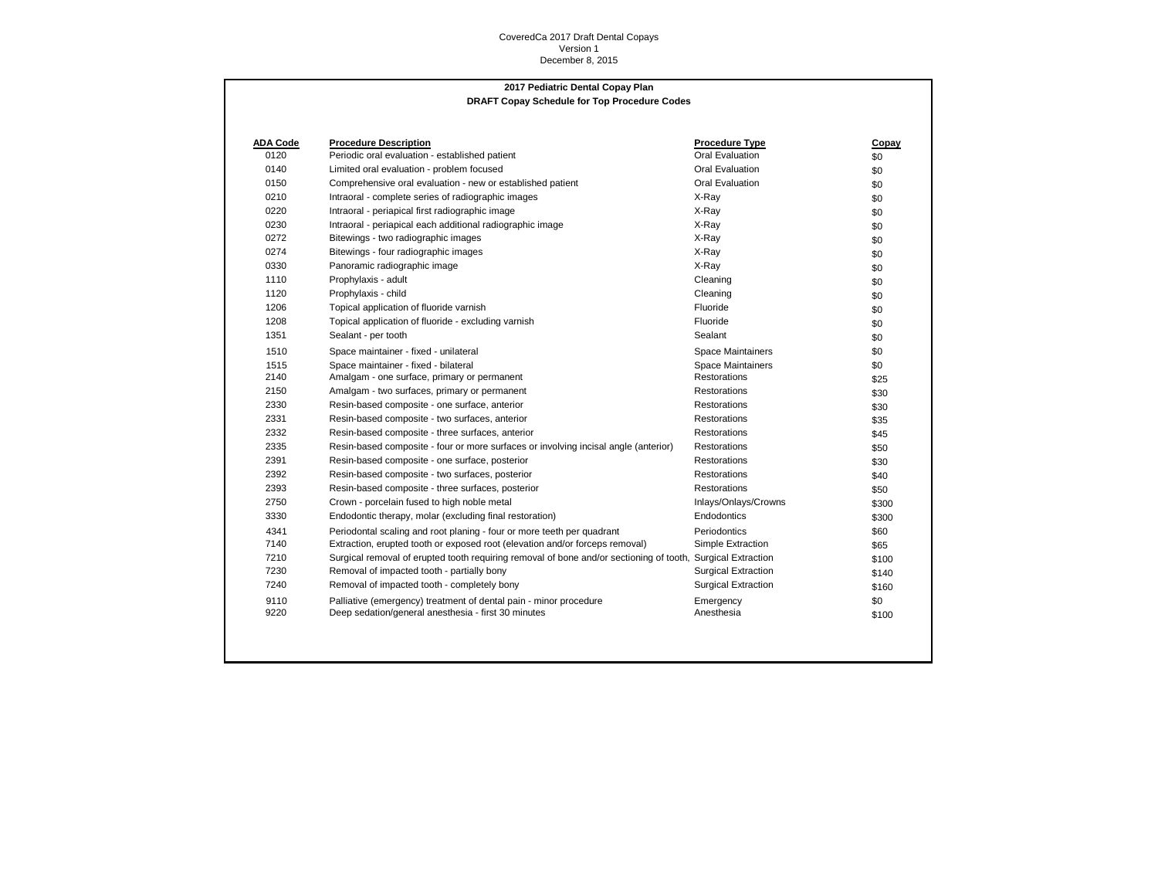## CoveredCa 2017 Draft Dental Copays Version 1 December 8, 2015

## **2017 Pediatric Dental Copay Plan DRAFT Copay Schedule for Top Procedure Codes**

| ADA Code | <b>Procedure Description</b>                                                                                | <b>Procedure Type</b>      | Copay |
|----------|-------------------------------------------------------------------------------------------------------------|----------------------------|-------|
| 0120     | Periodic oral evaluation - established patient                                                              | Oral Evaluation            | \$0   |
| 0140     | Limited oral evaluation - problem focused                                                                   | Oral Evaluation            | \$0   |
| 0150     | Comprehensive oral evaluation - new or established patient                                                  | Oral Evaluation            | \$0   |
| 0210     | Intraoral - complete series of radiographic images                                                          | X-Ray                      | \$0   |
| 0220     | Intraoral - periapical first radiographic image                                                             | X-Ray                      | \$0   |
| 0230     | Intraoral - periapical each additional radiographic image                                                   | X-Ray                      | \$0   |
| 0272     | Bitewings - two radiographic images                                                                         | X-Ray                      | \$0   |
| 0274     | Bitewings - four radiographic images                                                                        | X-Rav                      | \$0   |
| 0330     | Panoramic radiographic image                                                                                | X-Ray                      | \$0   |
| 1110     | Prophylaxis - adult                                                                                         | Cleaning                   | \$0   |
| 1120     | Prophylaxis - child                                                                                         | Cleaning                   | \$0   |
| 1206     | Topical application of fluoride varnish                                                                     | Fluoride                   | \$0   |
| 1208     | Topical application of fluoride - excluding varnish                                                         | Fluoride                   | \$0   |
| 1351     | Sealant - per tooth                                                                                         | Sealant                    | \$0   |
| 1510     | Space maintainer - fixed - unilateral                                                                       | <b>Space Maintainers</b>   | \$0   |
| 1515     | Space maintainer - fixed - bilateral                                                                        | <b>Space Maintainers</b>   | \$0   |
| 2140     | Amalgam - one surface, primary or permanent                                                                 | <b>Restorations</b>        | \$25  |
| 2150     | Amalgam - two surfaces, primary or permanent                                                                | Restorations               | \$30  |
| 2330     | Resin-based composite - one surface, anterior                                                               | Restorations               | \$30  |
| 2331     | Resin-based composite - two surfaces, anterior                                                              | <b>Restorations</b>        | \$35  |
| 2332     | Resin-based composite - three surfaces, anterior                                                            | <b>Restorations</b>        | \$45  |
| 2335     | Resin-based composite - four or more surfaces or involving incisal angle (anterior)                         | <b>Restorations</b>        | \$50  |
| 2391     | Resin-based composite - one surface, posterior                                                              | <b>Restorations</b>        | \$30  |
| 2392     | Resin-based composite - two surfaces, posterior                                                             | <b>Restorations</b>        | \$40  |
| 2393     | Resin-based composite - three surfaces, posterior                                                           | <b>Restorations</b>        | \$50  |
| 2750     | Crown - porcelain fused to high noble metal                                                                 | Inlays/Onlays/Crowns       | \$300 |
| 3330     | Endodontic therapy, molar (excluding final restoration)                                                     | Endodontics                | \$300 |
| 4341     | Periodontal scaling and root planing - four or more teeth per quadrant                                      | Periodontics               | \$60  |
| 7140     | Extraction, erupted tooth or exposed root (elevation and/or forceps removal)                                | Simple Extraction          | \$65  |
| 7210     | Surgical removal of erupted tooth requiring removal of bone and/or sectioning of tooth, Surgical Extraction |                            | \$100 |
| 7230     | Removal of impacted tooth - partially bony                                                                  | <b>Surgical Extraction</b> | \$140 |
| 7240     | Removal of impacted tooth - completely bony                                                                 | <b>Surgical Extraction</b> | \$160 |
| 9110     | Palliative (emergency) treatment of dental pain - minor procedure                                           | Emergency                  | \$0   |
| 9220     | Deep sedation/general anesthesia - first 30 minutes                                                         | Anesthesia                 | \$100 |